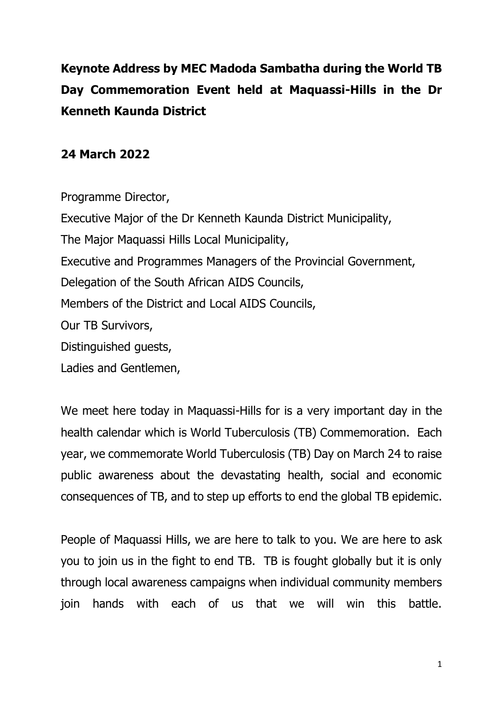**Keynote Address by MEC Madoda Sambatha during the World TB Day Commemoration Event held at Maquassi-Hills in the Dr Kenneth Kaunda District**

## **24 March 2022**

Programme Director, Executive Major of the Dr Kenneth Kaunda District Municipality, The Major Maquassi Hills Local Municipality, Executive and Programmes Managers of the Provincial Government, Delegation of the South African AIDS Councils, Members of the District and Local AIDS Councils, Our TB Survivors, Distinguished guests, Ladies and Gentlemen,

We meet here today in Maquassi-Hills for is a very important day in the health calendar which is World Tuberculosis (TB) Commemoration. Each year, we commemorate World Tuberculosis (TB) Day on March 24 to raise public awareness about the devastating health, social and economic consequences of TB, and to step up efforts to end the global TB epidemic.

People of Maquassi Hills, we are here to talk to you. We are here to ask you to join us in the fight to end TB. TB is fought globally but it is only through local awareness campaigns when individual community members join hands with each of us that we will win this battle.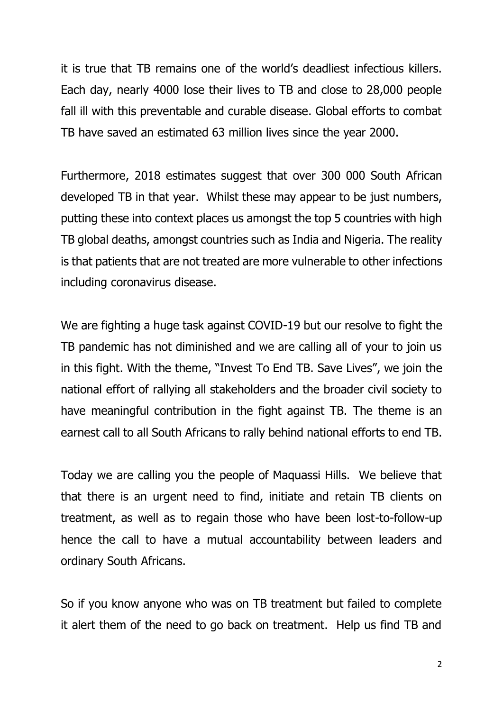it is true that TB remains one of the world's deadliest infectious killers. Each day, nearly 4000 lose their lives to TB and close to 28,000 people fall ill with this preventable and curable disease. Global efforts to combat TB have saved an estimated 63 million lives since the year 2000.

Furthermore, 2018 [estimates](https://www.nicd.ac.za/wp-content/uploads/2020/05/Impact-of-Covid-19-interventions-on-TB-testing-in-South-Africa-10-May-2020.pdf) suggest that over 300 000 South African developed TB in that year. Whilst these may appear to be just numbers, putting these into context places us amongst the top 5 countries with high TB global deaths, amongst countries such as India and Nigeria. The reality is that patients that are not treated are more vulnerable to other infections including coronavirus disease.

We are fighting a huge task against COVID-19 but our resolve to fight the TB pandemic has not diminished and we are calling all of your to join us in this fight. With the theme, "Invest To End TB. Save Lives", we join the national effort of rallying all stakeholders and the broader civil society to have meaningful contribution in the fight against TB. The theme is an earnest call to all South Africans to rally behind national efforts to end TB.

Today we are calling you the people of Maquassi Hills. We believe that that there is an urgent need to find, initiate and retain TB clients on treatment, as well as to regain those who have been lost-to-follow-up hence the call to have a mutual accountability between leaders and ordinary South Africans.

So if you know anyone who was on TB treatment but failed to complete it alert them of the need to go back on treatment. Help us find TB and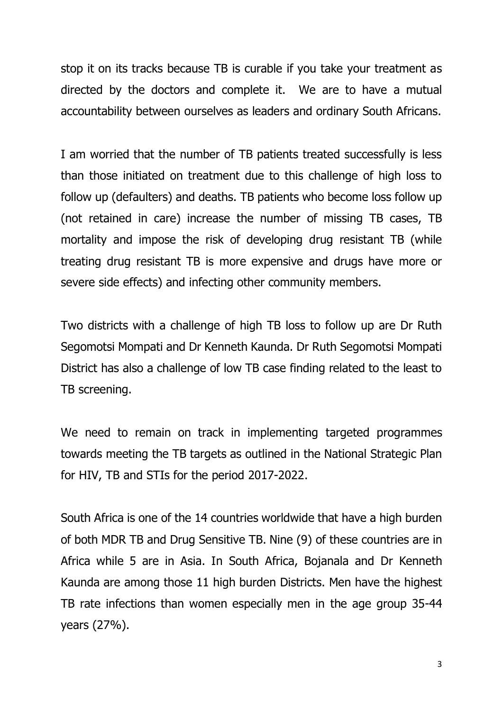stop it on its tracks because TB is curable if you take your treatment as directed by the doctors and complete it. We are to have a mutual accountability between ourselves as leaders and ordinary South Africans.

I am worried that the number of TB patients treated successfully is less than those initiated on treatment due to this challenge of high loss to follow up (defaulters) and deaths. TB patients who become loss follow up (not retained in care) increase the number of missing TB cases, TB mortality and impose the risk of developing drug resistant TB (while treating drug resistant TB is more expensive and drugs have more or severe side effects) and infecting other community members.

Two districts with a challenge of high TB loss to follow up are Dr Ruth Segomotsi Mompati and Dr Kenneth Kaunda. Dr Ruth Segomotsi Mompati District has also a challenge of low TB case finding related to the least to TB screening.

We need to remain on track in implementing targeted programmes towards meeting the TB targets as outlined in the National Strategic Plan for HIV, TB and STIs for the period 2017-2022.

South Africa is one of the 14 countries worldwide that have a high burden of both MDR TB and Drug Sensitive TB. Nine (9) of these countries are in Africa while 5 are in Asia. In South Africa, Bojanala and Dr Kenneth Kaunda are among those 11 high burden Districts. Men have the highest TB rate infections than women especially men in the age group 35-44 years (27%).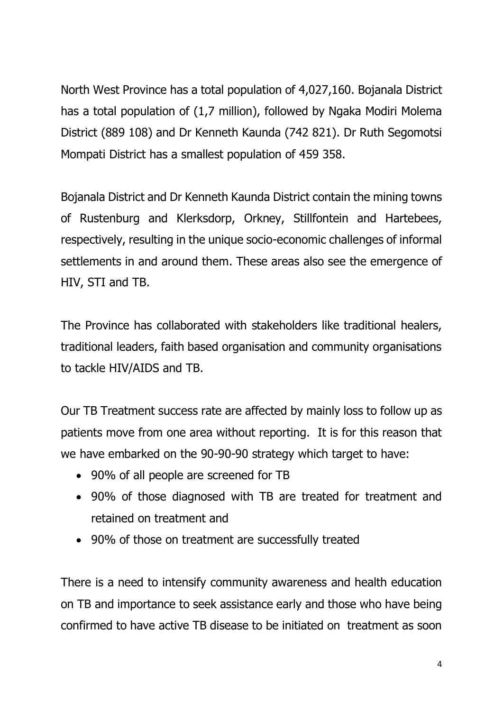North West Province has a total population of 4,027,160. Bojanala District has a total population of (1,7 million), followed by Ngaka Modiri Molema District (889 108) and Dr Kenneth Kaunda (742 821). Dr Ruth Segomotsi Mompati District has a smallest population of 459 358.

Bojanala District and Dr Kenneth Kaunda District contain the mining towns of Rustenburg and Klerksdorp, Orkney, Stillfontein and Hartebees, respectively, resulting in the unique socio-economic challenges of informal settlements in and around them. These areas also see the emergence of HIV, STI and TB.

The Province has collaborated with stakeholders like traditional healers, traditional leaders, faith based organisation and community organisations to tackle HIV/AIDS and TB.

Our TB Treatment success rate are affected by mainly loss to follow up as patients move from one area without reporting. It is for this reason that we have embarked on the 90-90-90 strategy which target to have:

- 90% of all people are screened for TB
- 90% of those diagnosed with TB are treated for treatment and retained on treatment and
- 90% of those on treatment are successfully treated

There is a need to intensify community awareness and health education on TB and importance to seek assistance early and those who have being confirmed to have active TB disease to be initiated on treatment as soon